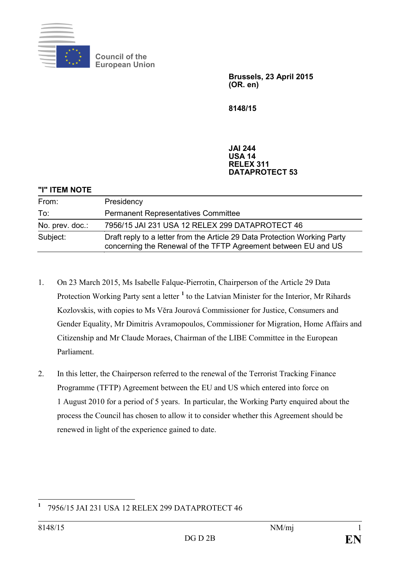

**Council of the European Union**

> **Brussels, 23 April 2015 (OR. en)**

**8148/15**

## **JAI 244 USA 14 RELEX 311 DATAPROTECT 53**

| "I" ITEM NOTE   |                                                                                                                                             |
|-----------------|---------------------------------------------------------------------------------------------------------------------------------------------|
| From:           | Presidency                                                                                                                                  |
| To:             | <b>Permanent Representatives Committee</b>                                                                                                  |
| No. prev. doc.: | 7956/15 JAI 231 USA 12 RELEX 299 DATAPROTECT 46                                                                                             |
| Subject:        | Draft reply to a letter from the Article 29 Data Protection Working Party<br>concerning the Renewal of the TFTP Agreement between EU and US |

- 1. On 23 March 2015, Ms Isabelle Falque-Pierrotin, Chairperson of the Article 29 Data Protection Working Party sent a letter **[1](#page-0-0)** to the Latvian Minister for the Interior, Mr Rihards Kozlovskis, with copies to Ms Vĕra Jourová Commissioner for Justice, Consumers and Gender Equality, Mr Dimitris Avramopoulos, Commissioner for Migration, Home Affairs and Citizenship and Mr Claude Moraes, Chairman of the LIBE Committee in the European Parliament.
- 2. In this letter, the Chairperson referred to the renewal of the Terrorist Tracking Finance Programme (TFTP) Agreement between the EU and US which entered into force on 1 August 2010 for a period of 5 years. In particular, the Working Party enquired about the process the Council has chosen to allow it to consider whether this Agreement should be renewed in light of the experience gained to date.

<span id="page-0-0"></span>**<sup>1</sup>** 7956/15 JAI 231 USA 12 RELEX 299 DATAPROTECT 46  $\overline{a}$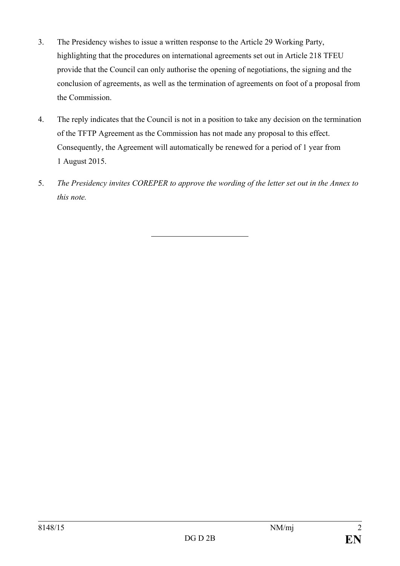- 3. The Presidency wishes to issue a written response to the Article 29 Working Party, highlighting that the procedures on international agreements set out in Article 218 TFEU provide that the Council can only authorise the opening of negotiations, the signing and the conclusion of agreements, as well as the termination of agreements on foot of a proposal from the Commission.
- 4. The reply indicates that the Council is not in a position to take any decision on the termination of the TFTP Agreement as the Commission has not made any proposal to this effect. Consequently, the Agreement will automatically be renewed for a period of 1 year from 1 August 2015.
- 5. *The Presidency invites COREPER to approve the wording of the letter set out in the Annex to this note.*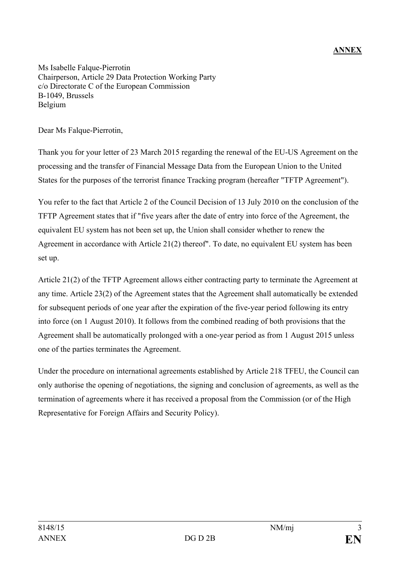## **ANNEX**

Ms Isabelle Falque-Pierrotin Chairperson, Article 29 Data Protection Working Party c/o Directorate C of the European Commission B-1049, Brussels Belgium

Dear Ms Falque-Pierrotin,

Thank you for your letter of 23 March 2015 regarding the renewal of the EU-US Agreement on the processing and the transfer of Financial Message Data from the European Union to the United States for the purposes of the terrorist finance Tracking program (hereafter "TFTP Agreement").

You refer to the fact that Article 2 of the Council Decision of 13 July 2010 on the conclusion of the TFTP Agreement states that if "five years after the date of entry into force of the Agreement, the equivalent EU system has not been set up, the Union shall consider whether to renew the Agreement in accordance with Article 21(2) thereof". To date, no equivalent EU system has been set up.

Article 21(2) of the TFTP Agreement allows either contracting party to terminate the Agreement at any time. Article 23(2) of the Agreement states that the Agreement shall automatically be extended for subsequent periods of one year after the expiration of the five-year period following its entry into force (on 1 August 2010). It follows from the combined reading of both provisions that the Agreement shall be automatically prolonged with a one-year period as from 1 August 2015 unless one of the parties terminates the Agreement.

Under the procedure on international agreements established by Article 218 TFEU, the Council can only authorise the opening of negotiations, the signing and conclusion of agreements, as well as the termination of agreements where it has received a proposal from the Commission (or of the High Representative for Foreign Affairs and Security Policy).